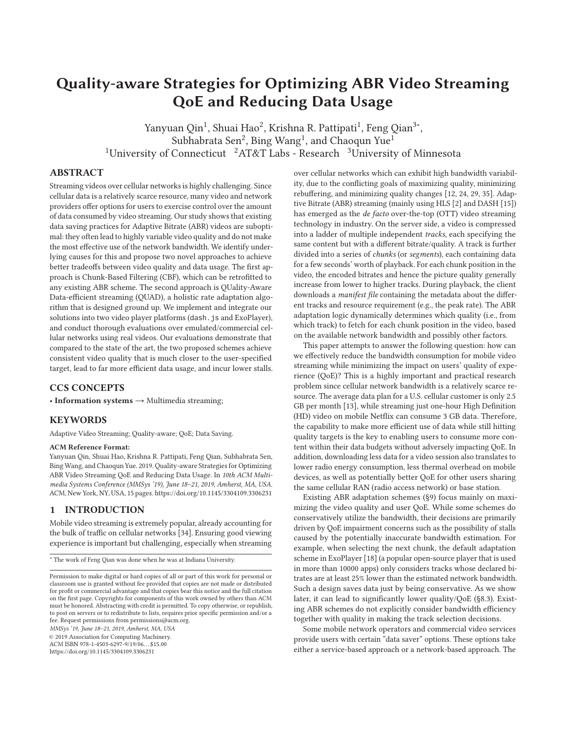# **Quality-aware Strategies for Optimizing ABR Video Streaming QoE and Reducing Data Usage**

Yanyuan Qin<sup>1</sup>, Shuai Hao<sup>2</sup>, Krishna R. Pattipati<sup>1</sup>, Feng Qian<sup>3∗</sup>, Subhabrata Sen<sup>2</sup>, Bing Wang<sup>1</sup>, and Chaoqun Yue<sup>1</sup> <sup>1</sup>University of Connecticut <sup>2</sup>AT&T Labs - Research <sup>3</sup>University of Minnesota

# **ABSTRACT**

Streaming videos over cellular networks is highly challenging. Since cellular data is a relatively scarce resource, many video and network providers offer options for users to exercise control over the amount of data consumed by video streaming. Our study shows that existing data saving practices for Adaptive Bitrate (ABR) videos are suboptimal: they often lead to highly variable video quality and do not make the most effective use of the network bandwidth. We identify underlying causes for this and propose two novel approaches to achieve better tradeoffs between video quality and data usage. The first approach is Chunk-Based Filtering (CBF), which can be retrofitted to any existing ABR scheme. The second approach is QUality-Aware Data-efficient streaming (QUAD), a holistic rate adaptation algorithm that is designed ground up. We implement and integrate our solutions into two video player platforms (dash. js and ExoPlayer), and conduct thorough evaluations over emulated/commercial cellular networks using real videos. Our evaluations demonstrate that compared to the state of the art, the two proposed schemes achieve consistent video quality that is much closer to the user-specified target, lead to far more efficient data usage, and incur lower stalls.

## **CCS CONCEPTS**

• **Information systems** → Multimedia streaming;

## **KEYWORDS**

Adaptive Video Streaming; Quality-aware; QoE; Data Saving.

#### **ACM Reference Format:**

Yanyuan Qin, Shuai Hao, Krishna R. Pattipati, Feng Qian, Subhabrata Sen, Bing Wang, and Chaoqun Yue. 2019. Quality-aware Strategies for Optimizing ABR Video Streaming QoE and Reducing Data Usage. In *10th ACM Multimedia Systems Conference (MMSys '19), June 18–21, 2019, Amherst, MA, USA.* ACM, New York, NY, USA, 15 pages. https://doi.org/10.1145/3304109.3306231

### **1 INTRODUCTION**

Mobile video streaming is extremely popular, already accounting for the bulk of traffic on cellular networks [34]. Ensuring good viewing experience is important but challenging, especially when streaming

*MMSys '19, June 18–21, 2019, Amherst, MA, USA*

© 2019 Association for Computing Machinery.

ACM ISBN 978-1-4503-6297-9/19/06. . . \$15.00

https://doi.org/10.1145/3304109.3306231

over cellular networks which can exhibit high bandwidth variability, due to the conflicting goals of maximizing quality, minimizing rebuffering, and minimizing quality changes [12, 24, 29, 35]. Adaptive Bitrate (ABR) streaming (mainly using HLS [2] and DASH [15]) has emerged as the *de facto* over-the-top (OTT) video streaming technology in industry. On the server side, a video is compressed into a ladder of multiple independent *tracks*, each specifying the same content but with a different bitrate/quality. A track is further divided into a series of *chunks* (or *segments*), each containing data for a few seconds' worth of playback. For each chunk position in the video, the encoded bitrates and hence the picture quality generally increase from lower to higher tracks. During playback, the client downloads a *manifest file* containing the metadata about the different tracks and resource requirement (e.g., the peak rate). The ABR adaptation logic dynamically determines which quality (i.e., from which track) to fetch for each chunk position in the video, based on the available network bandwidth and possibly other factors.

This paper attempts to answer the following question: how can we effectively reduce the bandwidth consumption for mobile video streaming while minimizing the impact on users' quality of experience (QoE)? This is a highly important and practical research problem since cellular network bandwidth is a relatively scarce resource. The average data plan for a U.S. cellular customer is only 2.5 GB per month [13], while streaming just one-hour High Definition (HD) video on mobile Netflix can consume 3 GB data. Therefore, the capability to make more efficient use of data while still hitting quality targets is the key to enabling users to consume more content within their data budgets without adversely impacting QoE. In addition, downloading less data for a video session also translates to lower radio energy consumption, less thermal overhead on mobile devices, as well as potentially better QoE for other users sharing the same cellular RAN (radio access network) or base station.

Existing ABR adaptation schemes (§9) focus mainly on maximizing the video quality and user QoE. While some schemes do conservatively utilize the bandwidth, their decisions are primarily driven by QoE impairment concerns such as the possibility of stalls caused by the potentially inaccurate bandwidth estimation. For example, when selecting the next chunk, the default adaptation scheme in ExoPlayer [18] (a popular open-source player that is used in more than 10000 apps) only considers tracks whose declared bitrates are at least 25% lower than the estimated network bandwidth. Such a design saves data just by being conservative. As we show later, it can lead to significantly lower quality/QoE (§8.3). Existing ABR schemes do not explicitly consider bandwidth efficiency together with quality in making the track selection decisions.

Some mobile network operators and commercial video services provide users with certain "data saver" options. These options take either a service-based approach or a network-based approach. The

<sup>\*</sup> The work of Feng Qian was done when he was at Indiana University.

Permission to make digital or hard copies of all or part of this work for personal or classroom use is granted without fee provided that copies are not made or distributed for profit or commercial advantage and that copies bear this notice and the full citation on the first page. Copyrights for components of this work owned by others than ACM must be honored. Abstracting with credit is permitted. To copy otherwise, or republish, to post on servers or to redistribute to lists, requires prior specific permission and/or a fee. Request permissions from permissions@acm.org.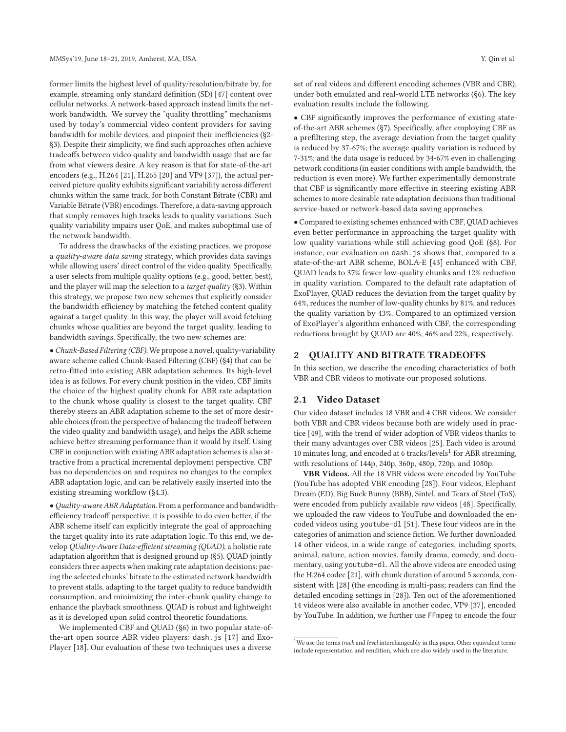former limits the highest level of quality/resolution/bitrate by, for example, streaming only standard definition (SD) [47] content over cellular networks. A network-based approach instead limits the network bandwidth. We survey the "quality throttling" mechanisms used by today's commercial video content providers for saving bandwidth for mobile devices, and pinpoint their inefficiencies (§2- §3). Despite their simplicity, we find such approaches often achieve tradeoffs between video quality and bandwidth usage that are far from what viewers desire. A key reason is that for state-of-the-art encoders (e.g., H.264 [21], H.265 [20] and VP9 [37]), the actual perceived picture quality exhibits significant variability across different chunks within the same track, for both Constant Bitrate (CBR) and Variable Bitrate (VBR) encodings. Therefore, a data-saving approach that simply removes high tracks leads to quality variations. Such quality variability impairs user QoE, and makes suboptimal use of the network bandwidth.

To address the drawbacks of the existing practices, we propose a *quality-aware data saving* strategy, which provides data savings while allowing users' direct control of the video quality. Specifically, a user selects from multiple quality options (e.g., good, better, best), and the player will map the selection to a *target quality* (§3). Within this strategy, we propose two new schemes that explicitly consider the bandwidth efficiency by matching the fetched content quality against a target quality. In this way, the player will avoid fetching chunks whose qualities are beyond the target quality, leading to bandwidth savings. Specifically, the two new schemes are:

• *Chunk-Based Filtering (CBF).* We propose a novel, quality-variability aware scheme called Chunk-Based Filtering (CBF) (§4) that can be retro-fitted into existing ABR adaptation schemes. Its high-level idea is as follows. For every chunk position in the video, CBF limits the choice of the highest quality chunk for ABR rate adaptation to the chunk whose quality is closest to the target quality. CBF thereby steers an ABR adaptation scheme to the set of more desirable choices (from the perspective of balancing the tradeoff between the video quality and bandwidth usage), and helps the ABR scheme achieve better streaming performance than it would by itself. Using CBF in conjunction with existing ABR adaptation schemes is also attractive from a practical incremental deployment perspective. CBF has no dependencies on and requires no changes to the complex ABR adaptation logic, and can be relatively easily inserted into the existing streaming workflow (§4.3).

• *Quality-aware ABR Adaptation.* From a performance and bandwidthefficiency tradeoff perspective, it is possible to do even better, if the ABR scheme itself can explicitly integrate the goal of approaching the target quality into its rate adaptation logic. To this end, we develop *QUality-Aware Data-efficient streaming (QUAD)*, a holistic rate adaptation algorithm that is designed ground up (§5). QUAD jointly considers three aspects when making rate adaptation decisions: pacing the selected chunks' bitrate to the estimated network bandwidth to prevent stalls, adapting to the target quality to reduce bandwidth consumption, and minimizing the inter-chunk quality change to enhance the playback smoothness. QUAD is robust and lightweight as it is developed upon solid control theoretic foundations.

We implemented CBF and QUAD (§6) in two popular state-ofthe-art open source ABR video players: dash.js [17] and Exo-Player [18]. Our evaluation of these two techniques uses a diverse

set of real videos and different encoding schemes (VBR and CBR), under both emulated and real-world LTE networks (§6). The key evaluation results include the following.

• CBF significantly improves the performance of existing stateof-the-art ABR schemes (§7). Specifically, after employing CBF as a prefiltering step, the average deviation from the target quality is reduced by 37-67%; the average quality variation is reduced by 7-31%; and the data usage is reduced by 34-67% even in challenging network conditions (in easier conditions with ample bandwidth, the reduction is even more). We further experimentally demonstrate that CBF is significantly more effective in steering existing ABR schemes to more desirable rate adaptation decisions than traditional service-based or network-based data saving approaches.

• Compared to existing schemes enhanced with CBF, QUAD achieves even better performance in approaching the target quality with low quality variations while still achieving good QoE (§8). For instance, our evaluation on dash.js shows that, compared to a state-of-the-art ABR scheme, BOLA-E [43] enhanced with CBF, QUAD leads to 37% fewer low-quality chunks and 12% reduction in quality variation. Compared to the default rate adaptation of ExoPlayer, QUAD reduces the deviation from the target quality by 64%, reduces the number of low-quality chunks by 81%, and reduces the quality variation by 43%. Compared to an optimized version of ExoPlayer's algorithm enhanced with CBF, the corresponding reductions brought by QUAD are 40%, 46% and 22%, respectively.

#### **2 QUALITY AND BITRATE TRADEOFFS**

In this section, we describe the encoding characteristics of both VBR and CBR videos to motivate our proposed solutions.

#### **2.1 Video Dataset**

Our video dataset includes 18 VBR and 4 CBR videos. We consider both VBR and CBR videos because both are widely used in practice [49], with the trend of wider adoption of VBR videos thanks to their many advantages over CBR videos [25]. Each video is around 10 minutes long, and encoded at 6 tracks/levels<sup>1</sup> for ABR streaming, with resolutions of 144p, 240p, 360p, 480p, 720p, and 1080p.

**VBR Videos.** All the 18 VBR videos were encoded by YouTube (YouTube has adopted VBR encoding [28]). Four videos, Elephant Dream (ED), Big Buck Bunny (BBB), Sintel, and Tears of Steel (ToS), were encoded from publicly available *raw* videos [48]. Specifically, we uploaded the raw videos to YouTube and downloaded the encoded videos using youtube-dl [51]. These four videos are in the categories of animation and science fiction. We further downloaded 14 other videos, in a wide range of categories, including sports, animal, nature, action movies, family drama, comedy, and documentary, using youtube-dl. All the above videos are encoded using the H.264 codec [21], with chunk duration of around 5 seconds, consistent with [28] (the encoding is multi-pass; readers can find the detailed encoding settings in [28]). Ten out of the aforementioned 14 videos were also available in another codec, VP9 [37], encoded by YouTube. In addition, we further use FFmpeg to encode the four

<sup>1</sup>We use the terms *track* and *level* interchangeably in this paper. Other equivalent terms include representation and rendition, which are also widely used in the literature.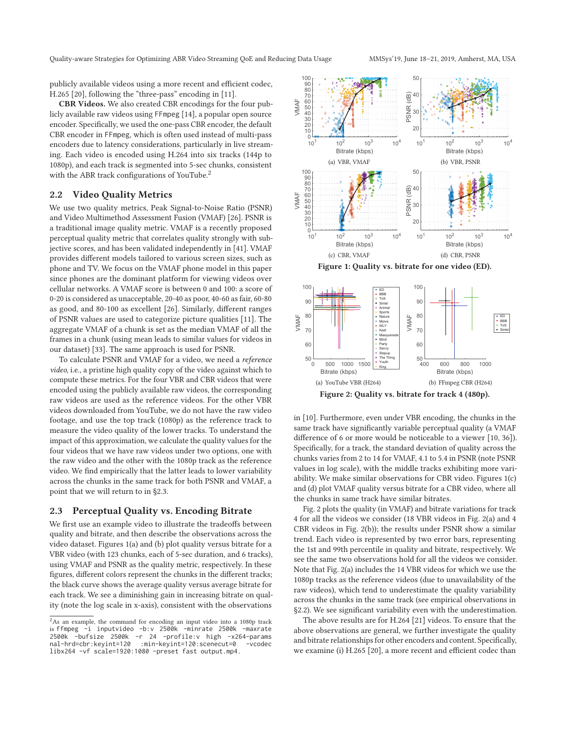publicly available videos using a more recent and efficient codec, H.265 [20], following the "three-pass" encoding in [11].

**CBR Videos.** We also created CBR encodings for the four publicly available raw videos using FFmpeg [14], a popular open source encoder. Specifically, we used the one-pass CBR encoder, the default CBR encoder in FFmpeg, which is often used instead of multi-pass encoders due to latency considerations, particularly in live streaming. Each video is encoded using H.264 into six tracks (144p to 1080p), and each track is segmented into 5-sec chunks, consistent with the ABR track configurations of YouTube.<sup>2</sup>

### **2.2 Video Quality Metrics**

We use two quality metrics, Peak Signal-to-Noise Ratio (PSNR) and Video Multimethod Assessment Fusion (VMAF) [26]. PSNR is a traditional image quality metric. VMAF is a recently proposed perceptual quality metric that correlates quality strongly with subjective scores, and has been validated independently in [41]. VMAF provides different models tailored to various screen sizes, such as phone and TV. We focus on the VMAF phone model in this paper since phones are the dominant platform for viewing videos over cellular networks. A VMAF score is between 0 and 100: a score of 0-20 is considered as unacceptable, 20-40 as poor, 40-60 as fair, 60-80 as good, and 80-100 as excellent [26]. Similarly, different ranges of PSNR values are used to categorize picture qualities [11]. The aggregate VMAF of a chunk is set as the median VMAF of all the frames in a chunk (using mean leads to similar values for videos in our dataset) [33]. The same approach is used for PSNR.

To calculate PSNR and VMAF for a video, we need a *reference video*, i.e., a pristine high quality copy of the video against which to compute these metrics. For the four VBR and CBR videos that were encoded using the publicly available raw videos, the corresponding raw videos are used as the reference videos. For the other VBR videos downloaded from YouTube, we do not have the raw video footage, and use the top track (1080p) as the reference track to measure the video quality of the lower tracks. To understand the impact of this approximation, we calculate the quality values for the four videos that we have raw videos under two options, one with the raw video and the other with the 1080p track as the reference video. We find empirically that the latter leads to lower variability across the chunks in the same track for both PSNR and VMAF, a point that we will return to in §2.3.

#### **2.3 Perceptual Quality vs. Encoding Bitrate**

We first use an example video to illustrate the tradeoffs between quality and bitrate, and then describe the observations across the video dataset. Figures 1(a) and (b) plot quality versus bitrate for a VBR video (with 123 chunks, each of 5-sec duration, and 6 tracks), using VMAF and PSNR as the quality metric, respectively. In these figures, different colors represent the chunks in the different tracks; the black curve shows the average quality versus average bitrate for each track. We see a diminishing gain in increasing bitrate on quality (note the log scale in x-axis), consistent with the observations







in [10]. Furthermore, even under VBR encoding, the chunks in the same track have significantly variable perceptual quality (a VMAF difference of 6 or more would be noticeable to a viewer [10, 36]). Specifically, for a track, the standard deviation of quality across the chunks varies from 2 to 14 for VMAF, 4.1 to 5.4 in PSNR (note PSNR values in log scale), with the middle tracks exhibiting more variability. We make similar observations for CBR video. Figures 1(c) and (d) plot VMAF quality versus bitrate for a CBR video, where all the chunks in same track have similar bitrates.

Fig. 2 plots the quality (in VMAF) and bitrate variations for track 4 for all the videos we consider (18 VBR videos in Fig. 2(a) and 4 CBR videos in Fig. 2(b)); the results under PSNR show a similar trend. Each video is represented by two error bars, representing the 1st and 99th percentile in quality and bitrate, respectively. We see the same two observations hold for all the videos we consider. Note that Fig. 2(a) includes the 14 VBR videos for which we use the 1080p tracks as the reference videos (due to unavailability of the raw videos), which tend to underestimate the quality variability across the chunks in the same track (see empirical observations in §2.2). We see significant variability even with the underestimation.

The above results are for H.264 [21] videos. To ensure that the above observations are general, we further investigate the quality and bitrate relationships for other encoders and content. Specifically, we examine (i) H.265 [20], a more recent and efficient codec than

<sup>&</sup>lt;sup>2</sup>As an example, the command for encoding an input video into a 1080p track is ffmpeg -i inputvideo -b:v 2500k -minrate 2500k -maxrate<br>2500k -bufsize 2500k -r 24 -profile:v high -x264-params 2500k -bufsize 2500k -r 24 -profile:v high -x264-params :min-keyint=120:scenecut=0 libx264 -vf scale=1920:1080 -preset fast output.mp4.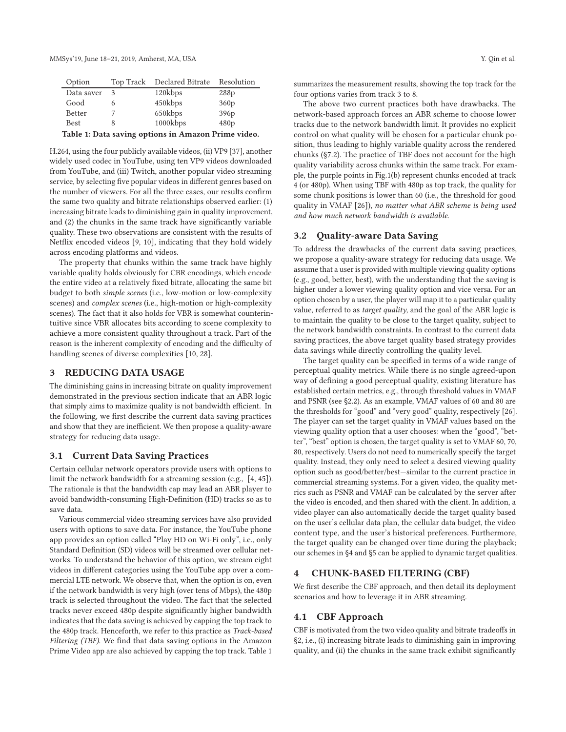MMSys'19, June 18–21, 2019, Amherst, MA, USA Y. Qin et al.

| Option                                              |   | Top Track Declared Bitrate | Resolution |  |
|-----------------------------------------------------|---|----------------------------|------------|--|
| Data saver                                          | 3 | 120kbps                    | 288p       |  |
| Good                                                |   | 450kbps                    | 360p       |  |
| Better                                              |   | 650kbps                    | 396p       |  |
| <b>Best</b>                                         |   | 1000kbps                   | 480p       |  |
| Table 1: Data saving options in Amazon Prime video. |   |                            |            |  |

H.264, using the four publicly available videos, (ii) VP9 [37], another widely used codec in YouTube, using ten VP9 videos downloaded from YouTube, and (iii) Twitch, another popular video streaming service, by selecting five popular videos in different genres based on the number of viewers. For all the three cases, our results confirm the same two quality and bitrate relationships observed earlier: (1) increasing bitrate leads to diminishing gain in quality improvement, and (2) the chunks in the same track have significantly variable quality. These two observations are consistent with the results of Netflix encoded videos [9, 10], indicating that they hold widely across encoding platforms and videos.

The property that chunks within the same track have highly variable quality holds obviously for CBR encodings, which encode the entire video at a relatively fixed bitrate, allocating the same bit budget to both *simple scenes* (i.e., low-motion or low-complexity scenes) and *complex scenes* (i.e., high-motion or high-complexity scenes). The fact that it also holds for VBR is somewhat counterintuitive since VBR allocates bits according to scene complexity to achieve a more consistent quality throughout a track. Part of the reason is the inherent complexity of encoding and the difficulty of handling scenes of diverse complexities [10, 28].

### **3 REDUCING DATA USAGE**

The diminishing gains in increasing bitrate on quality improvement demonstrated in the previous section indicate that an ABR logic that simply aims to maximize quality is not bandwidth efficient. In the following, we first describe the current data saving practices and show that they are inefficient. We then propose a quality-aware strategy for reducing data usage.

#### **3.1 Current Data Saving Practices**

Certain cellular network operators provide users with options to limit the network bandwidth for a streaming session (e.g., [4, 45]). The rationale is that the bandwidth cap may lead an ABR player to avoid bandwidth-consuming High-Definition (HD) tracks so as to save data.

Various commercial video streaming services have also provided users with options to save data. For instance, the YouTube phone app provides an option called "Play HD on Wi-Fi only", i.e., only Standard Definition (SD) videos will be streamed over cellular networks. To understand the behavior of this option, we stream eight videos in different categories using the YouTube app over a commercial LTE network. We observe that, when the option is on, even if the network bandwidth is very high (over tens of Mbps), the 480p track is selected throughout the video. The fact that the selected tracks never exceed 480p despite significantly higher bandwidth indicates that the data saving is achieved by capping the top track to the 480p track. Henceforth, we refer to this practice as *Track-based Filtering (TBF)*. We find that data saving options in the Amazon Prime Video app are also achieved by capping the top track. Table 1

summarizes the measurement results, showing the top track for the four options varies from track 3 to 8.

The above two current practices both have drawbacks. The network-based approach forces an ABR scheme to choose lower tracks due to the network bandwidth limit. It provides no explicit control on what quality will be chosen for a particular chunk position, thus leading to highly variable quality across the rendered chunks (§7.2). The practice of TBF does not account for the high quality variability across chunks within the same track. For example, the purple points in Fig.1(b) represent chunks encoded at track 4 (or 480p). When using TBF with 480p as top track, the quality for some chunk positions is lower than 60 (i.e., the threshold for good quality in VMAF [26]), *no matter what ABR scheme is being used and how much network bandwidth is available*.

#### **3.2 Quality-aware Data Saving**

To address the drawbacks of the current data saving practices, we propose a quality-aware strategy for reducing data usage. We assume that a user is provided with multiple viewing quality options (e.g., good, better, best), with the understanding that the saving is higher under a lower viewing quality option and vice versa. For an option chosen by a user, the player will map it to a particular quality value, referred to as *target quality*, and the goal of the ABR logic is to maintain the quality to be close to the target quality, subject to the network bandwidth constraints. In contrast to the current data saving practices, the above target quality based strategy provides data savings while directly controlling the quality level.

The target quality can be specified in terms of a wide range of perceptual quality metrics. While there is no single agreed-upon way of defining a good perceptual quality, existing literature has established certain metrics, e.g., through threshold values in VMAF and PSNR (see §2.2). As an example, VMAF values of 60 and 80 are the thresholds for "good" and "very good" quality, respectively [26]. The player can set the target quality in VMAF values based on the viewing quality option that a user chooses: when the "good", "better", "best" option is chosen, the target quality is set to VMAF 60, 70, 80, respectively. Users do not need to numerically specify the target quality. Instead, they only need to select a desired viewing quality option such as good/better/best—similar to the current practice in commercial streaming systems. For a given video, the quality metrics such as PSNR and VMAF can be calculated by the server after the video is encoded, and then shared with the client. In addition, a video player can also automatically decide the target quality based on the user's cellular data plan, the cellular data budget, the video content type, and the user's historical preferences. Furthermore, the target quality can be changed over time during the playback; our schemes in §4 and §5 can be applied to dynamic target qualities.

# **4 CHUNK-BASED FILTERING (CBF)**

We first describe the CBF approach, and then detail its deployment scenarios and how to leverage it in ABR streaming.

## **4.1 CBF Approach**

CBF is motivated from the two video quality and bitrate tradeoffs in §2, i.e., (i) increasing bitrate leads to diminishing gain in improving quality, and (ii) the chunks in the same track exhibit significantly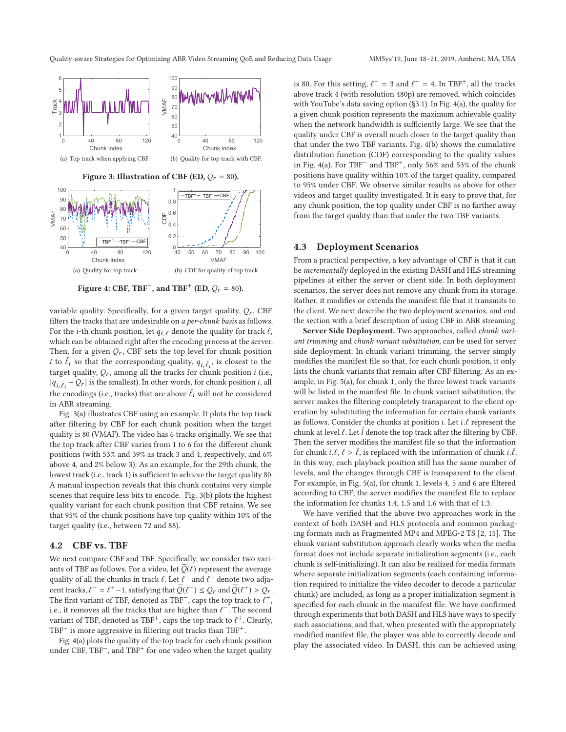

**Figure 4: CBF, TBF<sup>−</sup>, and TBF<sup>+</sup> (ED,**  $Q_r = 80$ **).** 

variable quality. Specifically, for a given target quality,  $Q_r$ , CBF filters the tracks that are undesirable on *a per-chunk basis* as follows. For the *i*-th chunk position, let  $q_{i,\ell}$  denote the quality for track  $\ell$ , which can be obtained right after the encoding process at the server. Then, for a given  $Q_r$ , CBF sets the top level for chunk position *i* to  $\bar{\ell}_i$  so that the corresponding quality,  $q_{i, \bar{\ell}_i}$ , is closest to the target quality,  $Q_r$ , among all the tracks for chunk position  $i$  (i.e.,  $|q_{i,\bar{\ell}_i} - Q_r|$  is the smallest). In other words, for chunk position *i*, all the encodings (i.e., tracks) that are above  $\bar{\ell}_i$  will not be considered in ABR streaming.

Fig. 3(a) illustrates CBF using an example. It plots the top track after filtering by CBF for each chunk position when the target quality is 80 (VMAF). The video has 6 tracks originally. We see that the top track after CBF varies from 1 to 6 for the different chunk positions (with 53% and 39% as track 3 and 4, respectively, and 6% above 4, and 2% below 3). As an example, for the 29th chunk, the lowest track (i.e., track 1) is sufficient to achieve the target quality 80. A manual inspection reveals that this chunk contains very simple scenes that require less bits to encode. Fig. 3(b) plots the highest quality variant for each chunk position that CBF retains. We see that 95% of the chunk positions have top quality within 10% of the target quality (i.e., between 72 and 88).

#### **4.2 CBF vs. TBF**

We next compare CBF and TBF. Specifically, we consider two variants of TBF as follows. For a video, let  $\widetilde{Q}(\ell)$  represent the average quality of all the chunks in track  $\ell$ . Let  $\ell^-$  and  $\ell^+$  denote two adjacent tracks,  $\ell^- = \ell^+ - 1$ , satisfying that  $\widetilde{Q}(\ell^-) \leq Q_r$  and  $\widetilde{Q}(\ell^+) > Q_r$ . The first variant of TBF, denoted as TBF<sup> $-$ </sup>, caps the top track to  $\ell^-$ , i.e., it removes all the tracks that are higher than  $\ell^-$ . The second variant of TBF, denoted as TBF<sup>+</sup>, caps the top track to  $\ell^+$ . Clearly, TBF<sup>−</sup> is more aggressive in filtering out tracks than TBF<sup>+</sup>.

Fig. 4(a) plots the quality of the top track for each chunk position under CBF, TBF−, and TBF<sup>+</sup> for one video when the target quality

is 80. For this setting,  $\ell^- = 3$  and  $\ell^+ = 4$ . In TBF<sup>+</sup>, all the tracks above track 4 (with resolution 480p) are removed, which coincides with YouTube's data saving option (§3.1). In Fig. 4(a), the quality for a given chunk position represents the maximum achievable quality when the network bandwidth is sufficiently large. We see that the quality under CBF is overall much closer to the target quality than that under the two TBF variants. Fig. 4(b) shows the cumulative distribution function (CDF) corresponding to the quality values in Fig. 4(a). For TBF<sup>−</sup> and TBF+, only 56% and 53% of the chunk positions have quality within 10% of the target quality, compared to 95% under CBF. We observe similar results as above for other videos and target quality investigated. It is easy to prove that, for any chunk position, the top quality under CBF is no farther away from the target quality than that under the two TBF variants.

#### **4.3 Deployment Scenarios**

From a practical perspective, a key advantage of CBF is that it can be *incrementally* deployed in the existing DASH and HLS streaming pipelines at either the server or client side. In both deployment scenarios, the server does not remove any chunk from its storage. Rather, it modifies or extends the manifest file that it transmits to the client. We next describe the two deployment scenarios, and end the section with a brief description of using CBF in ABR streaming.

**Server Side Deployment.** Two approaches, called *chunk variant trimming* and *chunk variant substitution*, can be used for server side deployment. In chunk variant trimming, the server simply modifies the manifest file so that, for each chunk position, it only lists the chunk variants that remain after CBF filtering. As an example, in Fig. 5(a), for chunk 1, only the three lowest track variants will be listed in the manifest file. In chunk variant substitution, the server makes the filtering completely transparent to the client operation by substituting the information for certain chunk variants as follows. Consider the chunks at position  $i$ . Let  $i.\ell$  represent the chunk at level  $\ell$ . Let  $\overline{l}$  denote the top track after the filtering by CBF. Then the server modifies the manifest file so that the information for chunk *i.l*,  $\ell > \bar{\ell}$ , is replaced with the information of chunk *i.l*<sup> $\bar{\ell}$ </sup>. In this way, each playback position still has the same number of levels, and the changes through CBF is transparent to the client. For example, in Fig. 5(a), for chunk 1, levels 4, 5 and 6 are filtered according to CBF; the server modifies the manifest file to replace the information for chunks 1.4, 1.5 and 1.6 with that of 1.3.

We have verified that the above two approaches work in the context of both DASH and HLS protocols and common packaging formats such as Fragmented MP4 and MPEG-2 TS [2, 15]. The chunk variant substitution approach clearly works when the media format does not include separate initialization segments (i.e., each chunk is self-initializing). It can also be realized for media formats where separate initialization segments (each containing information required to initialize the video decoder to decode a particular chunk) are included, as long as a proper initialization segment is specified for each chunk in the manifest file. We have confirmed through experiments that both DASH and HLS have ways to specify such associations, and that, when presented with the appropriately modified manifest file, the player was able to correctly decode and play the associated video. In DASH, this can be achieved using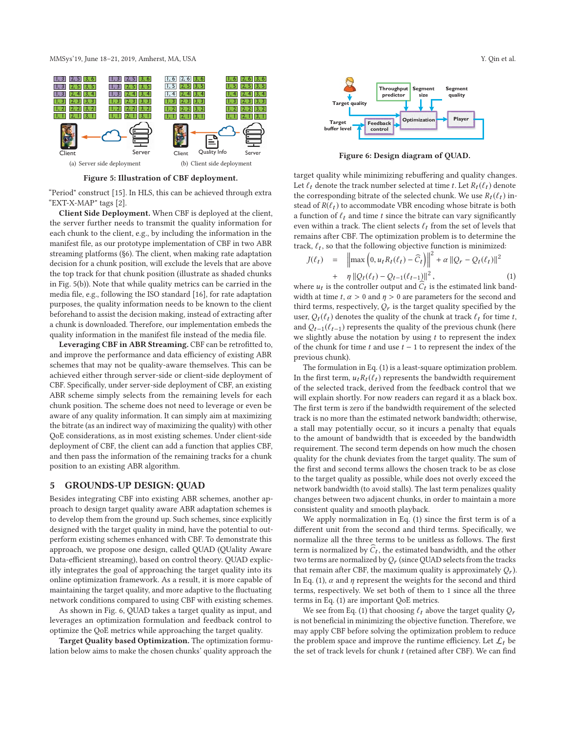MMSys'19, June 18–21, 2019, Amherst, MA, USA Y. Qin et al.



**Figure 5: Illustration of CBF deployment.**

"Period" construct [15]. In HLS, this can be achieved through extra "EXT-X-MAP" tags [2].

**Client Side Deployment.** When CBF is deployed at the client, the server further needs to transmit the quality information for each chunk to the client, e.g., by including the information in the manifest file, as our prototype implementation of CBF in two ABR streaming platforms (§6). The client, when making rate adaptation decision for a chunk position, will exclude the levels that are above the top track for that chunk position (illustrate as shaded chunks in Fig. 5(b)). Note that while quality metrics can be carried in the media file, e.g., following the ISO standard [16], for rate adaptation purposes, the quality information needs to be known to the client beforehand to assist the decision making, instead of extracting after a chunk is downloaded. Therefore, our implementation embeds the quality information in the manifest file instead of the media file.

**Leveraging CBF in ABR Streaming.** CBF can be retrofitted to, and improve the performance and data efficiency of existing ABR schemes that may not be quality-aware themselves. This can be achieved either through server-side or client-side deployment of CBF. Specifically, under server-side deployment of CBF, an existing ABR scheme simply selects from the remaining levels for each chunk position. The scheme does not need to leverage or even be aware of any quality information. It can simply aim at maximizing the bitrate (as an indirect way of maximizing the quality) with other QoE considerations, as in most existing schemes. Under client-side deployment of CBF, the client can add a function that applies CBF, and then pass the information of the remaining tracks for a chunk position to an existing ABR algorithm.

#### **5 GROUNDS-UP DESIGN: QUAD**

Besides integrating CBF into existing ABR schemes, another approach to design target quality aware ABR adaptation schemes is to develop them from the ground up. Such schemes, since explicitly designed with the target quality in mind, have the potential to outperform existing schemes enhanced with CBF. To demonstrate this approach, we propose one design, called QUAD (QUality Aware Data-efficient streaming), based on control theory. QUAD explicitly integrates the goal of approaching the target quality into its online optimization framework. As a result, it is more capable of maintaining the target quality, and more adaptive to the fluctuating network conditions compared to using CBF with existing schemes.

As shown in Fig. 6, QUAD takes a target quality as input, and leverages an optimization formulation and feedback control to optimize the QoE metrics while approaching the target quality.

**Target Quality based Optimization.** The optimization formulation below aims to make the chosen chunks' quality approach the



**Figure 6: Design diagram of QUAD.**

target quality while minimizing rebuffering and quality changes. Let  $\ell_t$  denote the track number selected at time t. Let  $R_t(\ell_t)$  denote the corresponding bitrate of the selected chunk. We use  $R_t(\ell_t)$  instead of  $R(\ell_t)$  to accommodate VBR encoding whose bitrate is both a function of  $l_t$  and time  $t$  since the bitrate can vary significantly even within a track. The client selects  $\ell_t$  from the set of levels that remains after CBF. The optimization problem is to determine the track,  $\ell_t$ , so that the following objective function is minimized:

$$
J(\ell_t) = \left\| \max \left( 0, u_t R_t(\ell_t) - \widehat{C}_t \right) \right\|^2 + \alpha \left\| Q_r - Q_t(\ell_t) \right\|^2
$$
  
+  $\eta \left\| Q_t(\ell_t) - Q_{t-1}(\ell_{t-1}) \right\|^2$ , (1)

where  $u_t$  is the controller output and  $\widehat{C}_t$  is the estimated link bandwidth at time t,  $\alpha > 0$  and  $\eta > 0$  are parameters for the second and third terms, respectively,  $Q_r$  is the target quality specified by the user,  $Q_t(\ell_t)$  denotes the quality of the chunk at track  $\ell_t$  for time t, and  $Q_{t-1}(\ell_{t-1})$  represents the quality of the previous chunk (here we slightly abuse the notation by using  $t$  to represent the index of the chunk for time t and use  $t - 1$  to represent the index of the previous chunk).

The formulation in Eq. (1) is a least-square optimization problem. In the first term,  $u_t R_t(\tilde{\ell_t})$  represents the bandwidth requirement of the selected track, derived from the feedback control that we will explain shortly. For now readers can regard it as a black box. The first term is zero if the bandwidth requirement of the selected track is no more than the estimated network bandwidth; otherwise, a stall may potentially occur, so it incurs a penalty that equals to the amount of bandwidth that is exceeded by the bandwidth requirement. The second term depends on how much the chosen quality for the chunk deviates from the target quality. The sum of the first and second terms allows the chosen track to be as close to the target quality as possible, while does not overly exceed the network bandwidth (to avoid stalls). The last term penalizes quality changes between two adjacent chunks, in order to maintain a more consistent quality and smooth playback.

We apply normalization in Eq. (1) since the first term is of a different unit from the second and third terms. Specifically, we normalize all the three terms to be unitless as follows. The first term is normalized by  $\widehat{C}_t$ , the estimated bandwidth, and the other two terms are normalized by  $Q_r$  (since QUAD selects from the tracks that remain after CBF, the maximum quality is approximately  $Q_r$ ). In Eq. (1),  $\alpha$  and  $\eta$  represent the weights for the second and third terms, respectively. We set both of them to 1 since all the three terms in Eq. (1) are important QoE metrics.

We see from Eq. (1) that choosing  $\ell_t$  above the target quality  $Q_t$ is not beneficial in minimizing the objective function. Therefore, we may apply CBF before solving the optimization problem to reduce the problem space and improve the runtime efficiency. Let  $\mathcal{L}_t$  be the set of track levels for chunk  $t$  (retained after CBF). We can find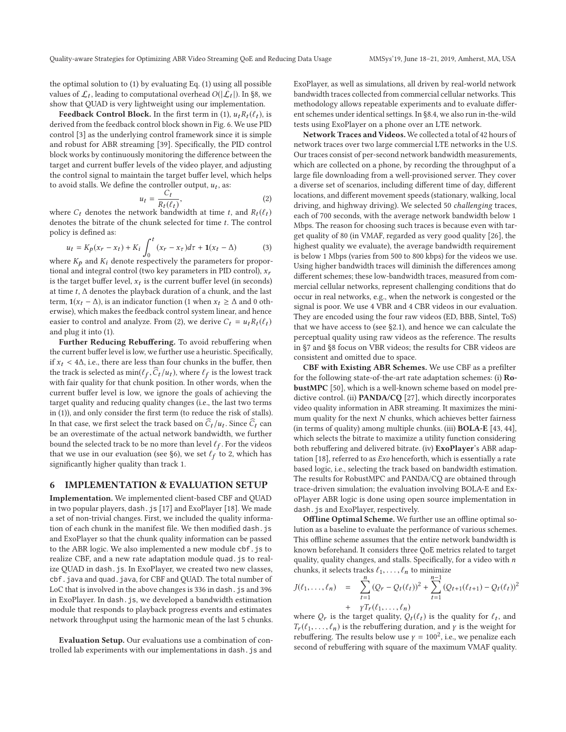the optimal solution to (1) by evaluating Eq. (1) using all possible values of  $\mathcal{L}_t$ , leading to computational overhead  $O(|\mathcal{L}_t|)$ . In §8, we show that QUAD is very lightweight using our implementation.

**Feedback Control Block.** In the first term in (1),  $u_t R_t(\ell_t)$ , is derived from the feedback control block shown in Fig. 6. We use PID control [3] as the underlying control framework since it is simple and robust for ABR streaming [39]. Specifically, the PID control block works by continuously monitoring the difference between the target and current buffer levels of the video player, and adjusting the control signal to maintain the target buffer level, which helps to avoid stalls. We define the controller output,  $u_t$ , as:

$$
u_t = \frac{C_t}{R_t(\ell_t)},
$$
\n(2)

where  $C_t$  denotes the network bandwidth at time t, and  $R_t(\ell_t)$ denotes the bitrate of the chunk selected for time  $t$ . The control policy is defined as:

$$
u_{t} = K_{p}(x_{r} - x_{t}) + K_{i} \int_{0}^{t} (x_{r} - x_{\tau}) d\tau + \mathbf{1}(x_{t} - \Delta)
$$
 (3)

where  $K_p$  and  $K_i$  denote respectively the parameters for proportional and integral control (two key parameters in PID control),  $x_r$ is the target buffer level,  $x_t$  is the current buffer level (in seconds) at time  $t$ ,  $\Delta$  denotes the playback duration of a chunk, and the last term,  $\mathbf{1}(x_t - \Delta)$ , is an indicator function (1 when  $x_t \geq \Delta$  and 0 otherwise), which makes the feedback control system linear, and hence easier to control and analyze. From (2), we derive  $C_t = u_t R_t(\ell_t)$ and plug it into (1).

**Further Reducing Rebuffering.** To avoid rebuffering when the current buffer level is low, we further use a heuristic. Specifically, if  $x_t$  < 4 $\Delta$ , i.e., there are less than four chunks in the buffer, then the track is selected as  $\min(\ell_f, \widehat{C}_t/u_t),$  where  $\ell_f$  is the lowest track with fair quality for that chunk position. In other words, when the current buffer level is low, we ignore the goals of achieving the target quality and reducing quality changes (i.e., the last two terms in (1)), and only consider the first term (to reduce the risk of stalls). In that case, we first select the track based on  $\widehat{C}_t/u_t$ . Since  $\widehat{C}_t$  can be an overestimate of the actual network bandwidth, we further bound the selected track to be no more than level  $\ell_f$ . For the videos that we use in our evaluation (see §6), we set  $\ell_f$  to 2, which has significantly higher quality than track 1.

#### **6 IMPLEMENTATION & EVALUATION SETUP**

**Implementation.** We implemented client-based CBF and QUAD in two popular players, dash. js [17] and ExoPlayer [18]. We made a set of non-trivial changes. First, we included the quality information of each chunk in the manifest file. We then modified dash.js and ExoPlayer so that the chunk quality information can be passed to the ABR logic. We also implemented a new module cbf.js to realize CBF, and a new rate adaptation module quad.js to realize QUAD in dash.js. In ExoPlayer, we created two new classes, cbf.java and quad.java, for CBF and QUAD. The total number of LoC that is involved in the above changes is 336 in dash. js and 396 in ExoPlayer. In dash.js, we developed a bandwidth estimation module that responds to playback progress events and estimates network throughput using the harmonic mean of the last 5 chunks.

**Evaluation Setup.** Our evaluations use a combination of controlled lab experiments with our implementations in dash.js and

ExoPlayer, as well as simulations, all driven by real-world network bandwidth traces collected from commercial cellular networks. This methodology allows repeatable experiments and to evaluate different schemes under identical settings. In §8.4, we also run in-the-wild tests using ExoPlayer on a phone over an LTE network.

**Network Traces and Videos.** We collected a total of 42 hours of network traces over two large commercial LTE networks in the U.S. Our traces consist of per-second network bandwidth measurements, which are collected on a phone, by recording the throughput of a large file downloading from a well-provisioned server. They cover a diverse set of scenarios, including different time of day, different locations, and different movement speeds (stationary, walking, local driving, and highway driving). We selected 50 *challenging* traces, each of 700 seconds, with the average network bandwidth below 1 Mbps. The reason for choosing such traces is because even with target quality of 80 (in VMAF, regarded as very good quality [26], the highest quality we evaluate), the average bandwidth requirement is below 1 Mbps (varies from 500 to 800 kbps) for the videos we use. Using higher bandwidth traces will diminish the differences among different schemes; these low-bandwidth traces, measured from commercial cellular networks, represent challenging conditions that do occur in real networks, e.g., when the network is congested or the signal is poor. We use 4 VBR and 4 CBR videos in our evaluation. They are encoded using the four raw videos (ED, BBB, Sintel, ToS) that we have access to (see §2.1), and hence we can calculate the perceptual quality using raw videos as the reference. The results in §7 and §8 focus on VBR videos; the results for CBR videos are consistent and omitted due to space.

**CBF with Existing ABR Schemes.** We use CBF as a prefilter for the following state-of-the-art rate adaptation schemes: (i) **RobustMPC** [50], which is a well-known scheme based on model predictive control. (ii) **PANDA/CQ** [27], which directly incorporates video quality information in ABR streaming. It maximizes the minimum quality for the next  $N$  chunks, which achieves better fairness (in terms of quality) among multiple chunks. (iii) **BOLA-E** [43, 44], which selects the bitrate to maximize a utility function considering both rebuffering and delivered bitrate. (iv) **ExoPlayer**'s ABR adaptation [18], referred to as *Exo* henceforth, which is essentially a rate based logic, i.e., selecting the track based on bandwidth estimation. The results for RobustMPC and PANDA/CQ are obtained through trace-driven simulation; the evaluation involving BOLA-E and ExoPlayer ABR logic is done using open source implementation in dash.js and ExoPlayer, respectively.

**Offline Optimal Scheme.** We further use an offline optimal solution as a baseline to evaluate the performance of various schemes. This offline scheme assumes that the entire network bandwidth is known beforehand. It considers three QoE metrics related to target quality, quality changes, and stalls. Specifically, for a video with  $n$ chunks, it selects tracks  $\ell_1, \ldots, \ell_n$  to minimize

$$
J(\ell_1, ..., \ell_n) = \sum_{t=1}^n (Q_r - Q_t(\ell_t))^2 + \sum_{t=1}^{n-1} (Q_{t+1}(\ell_{t+1}) - Q_t(\ell_t))^2 + \gamma T_r(\ell_1, ..., \ell_n)
$$

where  $Q_r$  is the target quality,  $Q_t(\ell_t)$  is the quality for  $\ell_t$ , and  $T_r(\ell_1,\ldots,\ell_n)$  is the rebuffering duration, and  $\gamma$  is the weight for rebuffering. The results below use  $\gamma = 100^2$ , i.e., we penalize each second of rebuffering with square of the maximum VMAF quality.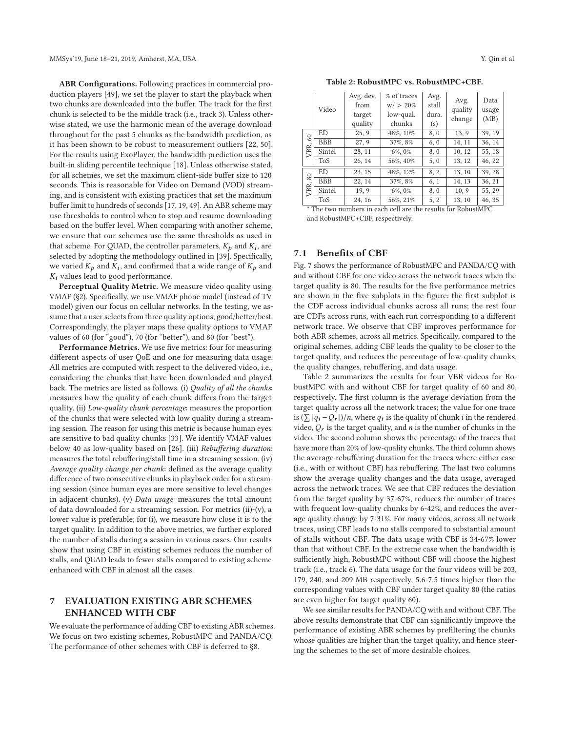**ABR Configurations.** Following practices in commercial production players [49], we set the player to start the playback when two chunks are downloaded into the buffer. The track for the first chunk is selected to be the middle track (i.e., track 3). Unless otherwise stated, we use the harmonic mean of the average download throughout for the past 5 chunks as the bandwidth prediction, as it has been shown to be robust to measurement outliers [22, 50]. For the results using ExoPlayer, the bandwidth prediction uses the built-in sliding percentile technique [18]. Unless otherwise stated, for all schemes, we set the maximum client-side buffer size to 120 seconds. This is reasonable for Video on Demand (VOD) streaming, and is consistent with existing practices that set the maximum buffer limit to hundreds of seconds [17, 19, 49]. An ABR scheme may use thresholds to control when to stop and resume downloading based on the buffer level. When comparing with another scheme, we ensure that our schemes use the same thresholds as used in that scheme. For QUAD, the controller parameters,  $K_p$  and  $K_i$ , are selected by adopting the methodology outlined in [39]. Specifically, we varied  $K_p$  and  $K_i$ , and confirmed that a wide range of  $K_p$  and  $K_i$  values lead to good performance.

**Perceptual Quality Metric.** We measure video quality using VMAF (§2). Specifically, we use VMAF phone model (instead of TV model) given our focus on cellular networks. In the testing, we assume that a user selects from three quality options, good/better/best. Correspondingly, the player maps these quality options to VMAF values of 60 (for "good"), 70 (for "better"), and 80 (for "best").

**Performance Metrics.** We use five metrics: four for measuring different aspects of user QoE and one for measuring data usage. All metrics are computed with respect to the delivered video, i.e., considering the chunks that have been downloaded and played back. The metrics are listed as follows. (i) *Quality of all the chunks*: measures how the quality of each chunk differs from the target quality. (ii) *Low-quality chunk percentage*: measures the proportion of the chunks that were selected with low quality during a streaming session. The reason for using this metric is because human eyes are sensitive to bad quality chunks [33]. We identify VMAF values below 40 as low-quality based on [26]. (iii) *Rebuffering duration*: measures the total rebuffering/stall time in a streaming session. (iv) *Average quality change per chunk*: defined as the average quality difference of two consecutive chunks in playback order for a streaming session (since human eyes are more sensitive to level changes in adjacent chunks). (v) *Data usage*: measures the total amount of data downloaded for a streaming session. For metrics (ii)-(v), a lower value is preferable; for (i), we measure how close it is to the target quality. In addition to the above metrics, we further explored the number of stalls during a session in various cases. Our results show that using CBF in existing schemes reduces the number of stalls, and QUAD leads to fewer stalls compared to existing scheme enhanced with CBF in almost all the cases.

# **7 EVALUATION EXISTING ABR SCHEMES ENHANCED WITH CBF**

We evaluate the performance of adding CBF to existing ABR schemes. We focus on two existing schemes, RobustMPC and PANDA/CQ. The performance of other schemes with CBF is deferred to §8.

**Table 2: RobustMPC vs. RobustMPC+CBF.**

|            | Video      | Avg. dev.<br>from<br>target<br>quality | % of traces<br>$w/ > 20\%$<br>low-qual.<br>chunks | Avg.<br>stall<br>dura.<br>(s) | Avg.<br>quality<br>change | Data<br>usage<br>(MB) |
|------------|------------|----------------------------------------|---------------------------------------------------|-------------------------------|---------------------------|-----------------------|
| VBR, 60    | ED         | 25, 9                                  | 48%, 10%                                          | 8,0                           | 13, 9                     | 39, 19                |
|            | <b>BBB</b> | 27.9                                   | 37%, 8%                                           | 6, 0                          | 14, 11                    | 36, 14                |
|            | Sintel     | 28, 11                                 | 6%, 0%                                            | 8,0                           | 10, 12                    | 55, 18                |
|            | <b>ToS</b> | 26, 14                                 | 56%, 40%                                          | 5, 0                          | 13, 12                    | 46, 22                |
| 80<br>VBR, | ED         | 23, 15                                 | 48%, 12%                                          | 8, 2                          | 13, 10                    | 39.28                 |
|            | <b>BBB</b> | 22, 14                                 | 37%, 8%                                           | 6, 1                          | 14, 13                    | 36, 21                |
|            | Sintel     | 19, 9                                  | 6%, 0%                                            | 8,0                           | 10, 9                     | 55, 29                |
|            | ToS        | 24, 16                                 | 56%, 21%                                          | 5, 2                          | 13, 10                    | 46, 35                |

\* The two numbers in each cell are the results for RobustMPC and RobustMPC+CBF, respectively.

# **7.1 Benefits of CBF**

Fig. 7 shows the performance of RobustMPC and PANDA/CQ with and without CBF for one video across the network traces when the target quality is 80. The results for the five performance metrics are shown in the five subplots in the figure: the first subplot is the CDF across individual chunks across all runs; the rest four are CDFs across runs, with each run corresponding to a different network trace. We observe that CBF improves performance for both ABR schemes, across all metrics. Specifically, compared to the original schemes, adding CBF leads the quality to be closer to the target quality, and reduces the percentage of low-quality chunks, the quality changes, rebuffering, and data usage.

Table 2 summarizes the results for four VBR videos for RobustMPC with and without CBF for target quality of 60 and 80, respectively. The first column is the average deviation from the target quality across all the network traces; the value for one trace is  $(\sum |q_i - Q_r|)/n$ , where  $q_i$  is the quality of chunk *i* in the rendered video,  $Q_r$  is the target quality, and n is the number of chunks in the video. The second column shows the percentage of the traces that have more than 20% of low-quality chunks. The third column shows the average rebuffering duration for the traces where either case (i.e., with or without CBF) has rebuffering. The last two columns show the average quality changes and the data usage, averaged across the network traces. We see that CBF reduces the deviation from the target quality by 37-67%, reduces the number of traces with frequent low-quality chunks by 6-42%, and reduces the average quality change by 7-31%. For many videos, across all network traces, using CBF leads to no stalls compared to substantial amount of stalls without CBF. The data usage with CBF is 34-67% lower than that without CBF. In the extreme case when the bandwidth is sufficiently high, RobustMPC without CBF will choose the highest track (i.e., track 6). The data usage for the four videos will be 203, 179, 240, and 209 MB respectively, 5.6-7.5 times higher than the corresponding values with CBF under target quality 80 (the ratios are even higher for target quality 60).

We see similar results for PANDA/CQ with and without CBF. The above results demonstrate that CBF can significantly improve the performance of existing ABR schemes by prefiltering the chunks whose qualities are higher than the target quality, and hence steering the schemes to the set of more desirable choices.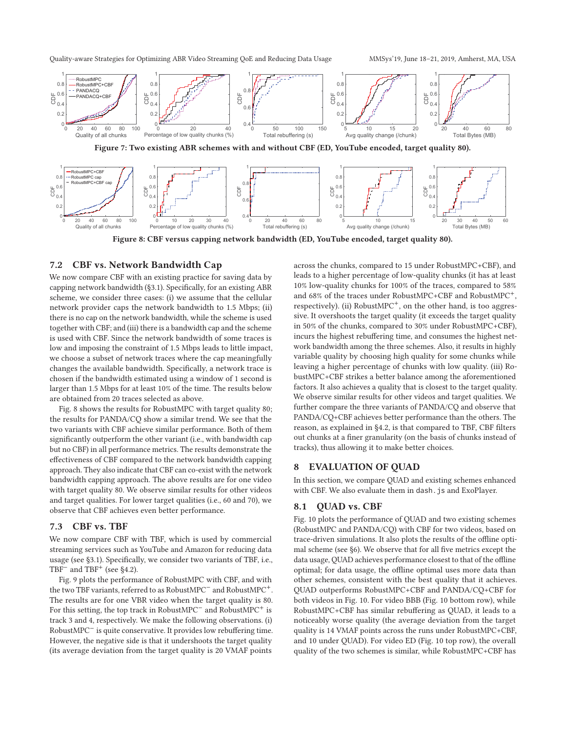Quality-aware Strategies for Optimizing ABR Video Streaming QoE and Reducing Data Usage MMSys'19, June 18–21, 2019, Amherst, MA, USA





**Figure 8: CBF versus capping network bandwidth (ED, YouTube encoded, target quality 80).**

#### **7.2 CBF vs. Network Bandwidth Cap**

We now compare CBF with an existing practice for saving data by capping network bandwidth (§3.1). Specifically, for an existing ABR scheme, we consider three cases: (i) we assume that the cellular network provider caps the network bandwidth to 1.5 Mbps; (ii) there is no cap on the network bandwidth, while the scheme is used together with CBF; and (iii) there is a bandwidth cap and the scheme is used with CBF. Since the network bandwidth of some traces is low and imposing the constraint of 1.5 Mbps leads to little impact, we choose a subset of network traces where the cap meaningfully changes the available bandwidth. Specifically, a network trace is chosen if the bandwidth estimated using a window of 1 second is larger than 1.5 Mbps for at least 10% of the time. The results below are obtained from 20 traces selected as above.

Fig. 8 shows the results for RobustMPC with target quality 80; the results for PANDA/CQ show a similar trend. We see that the two variants with CBF achieve similar performance. Both of them significantly outperform the other variant (i.e., with bandwidth cap but no CBF) in all performance metrics. The results demonstrate the effectiveness of CBF compared to the network bandwidth capping approach. They also indicate that CBF can co-exist with the network bandwidth capping approach. The above results are for one video with target quality 80. We observe similar results for other videos and target qualities. For lower target qualities (i.e., 60 and 70), we observe that CBF achieves even better performance.

#### **7.3 CBF vs. TBF**

We now compare CBF with TBF, which is used by commercial streaming services such as YouTube and Amazon for reducing data usage (see §3.1). Specifically, we consider two variants of TBF, i.e., TBF<sup>−</sup> and TBF<sup>+</sup> (see §4.2).

Fig. 9 plots the performance of RobustMPC with CBF, and with the two TBF variants, referred to as RobustMPC<sup>−</sup> and RobustMPC+. The results are for one VBR video when the target quality is 80. For this setting, the top track in RobustMPC<sup>−</sup> and RobustMPC<sup>+</sup> is track 3 and 4, respectively. We make the following observations. (i) RobustMPC<sup>−</sup> is quite conservative. It provides low rebuffering time. However, the negative side is that it undershoots the target quality (its average deviation from the target quality is 20 VMAF points

across the chunks, compared to 15 under RobustMPC+CBF), and leads to a higher percentage of low-quality chunks (it has at least 10% low-quality chunks for 100% of the traces, compared to 58% and 68% of the traces under RobustMPC+CBF and RobustMPC+, respectively). (ii) RobustMPC<sup>+</sup>, on the other hand, is too aggressive. It overshoots the target quality (it exceeds the target quality in 50% of the chunks, compared to 30% under RobustMPC+CBF), incurs the highest rebuffering time, and consumes the highest network bandwidth among the three schemes. Also, it results in highly variable quality by choosing high quality for some chunks while leaving a higher percentage of chunks with low quality. (iii) RobustMPC+CBF strikes a better balance among the aforementioned factors. It also achieves a quality that is closest to the target quality. We observe similar results for other videos and target qualities. We further compare the three variants of PANDA/CQ and observe that PANDA/CQ+CBF achieves better performance than the others. The reason, as explained in §4.2, is that compared to TBF, CBF filters out chunks at a finer granularity (on the basis of chunks instead of tracks), thus allowing it to make better choices.

## **8 EVALUATION OF QUAD**

In this section, we compare QUAD and existing schemes enhanced with CBF. We also evaluate them in dash. js and ExoPlayer.

#### **8.1 QUAD vs. CBF**

Fig. 10 plots the performance of QUAD and two existing schemes (RobustMPC and PANDA/CQ) with CBF for two videos, based on trace-driven simulations. It also plots the results of the offline optimal scheme (see §6). We observe that for all five metrics except the data usage, QUAD achieves performance closest to that of the offline optimal; for data usage, the offline optimal uses more data than other schemes, consistent with the best quality that it achieves. QUAD outperforms RobustMPC+CBF and PANDA/CQ+CBF for both videos in Fig. 10. For video BBB (Fig. 10 bottom row), while RobustMPC+CBF has similar rebuffering as QUAD, it leads to a noticeably worse quality (the average deviation from the target quality is 14 VMAF points across the runs under RobustMPC+CBF, and 10 under QUAD). For video ED (Fig. 10 top row), the overall quality of the two schemes is similar, while RobustMPC+CBF has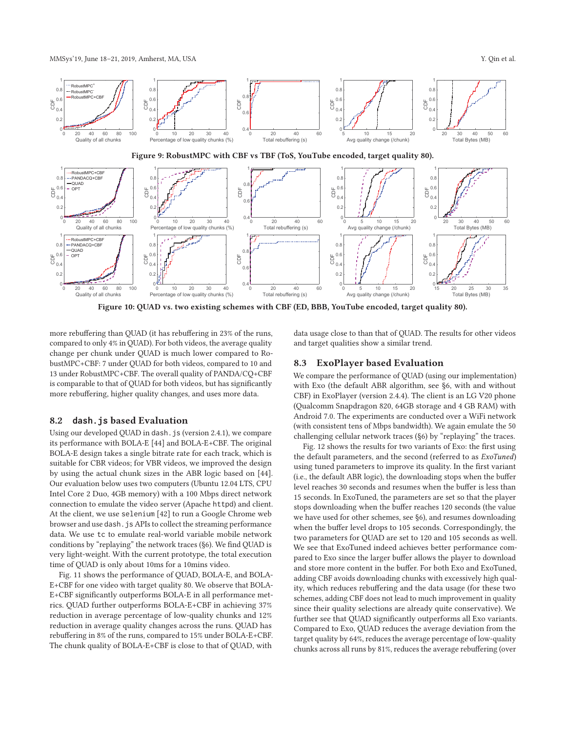MMSys'19, June 18–21, 2019, Amherst, MA, USA Y. Qin et al.



**Figure 10: QUAD vs. two existing schemes with CBF (ED, BBB, YouTube encoded, target quality 80).**

more rebuffering than QUAD (it has rebuffering in 23% of the runs, compared to only 4% in QUAD). For both videos, the average quality change per chunk under QUAD is much lower compared to RobustMPC+CBF: 7 under QUAD for both videos, compared to 10 and 13 under RobustMPC+CBF. The overall quality of PANDA/CQ+CBF is comparable to that of QUAD for both videos, but has significantly more rebuffering, higher quality changes, and uses more data.

#### **8.2 dash.js based Evaluation**

Using our developed QUAD in dash.js (version 2.4.1), we compare its performance with BOLA-E [44] and BOLA-E+CBF. The original BOLA-E design takes a single bitrate rate for each track, which is suitable for CBR videos; for VBR videos, we improved the design by using the actual chunk sizes in the ABR logic based on [44]. Our evaluation below uses two computers (Ubuntu 12.04 LTS, CPU Intel Core 2 Duo, 4GB memory) with a 100 Mbps direct network connection to emulate the video server (Apache httpd) and client. At the client, we use selenium [42] to run a Google Chrome web browser and use dash.js APIs to collect the streaming performance data. We use tc to emulate real-world variable mobile network conditions by "replaying" the network traces (§6). We find QUAD is very light-weight. With the current prototype, the total execution time of QUAD is only about 10ms for a 10mins video.

Fig. 11 shows the performance of QUAD, BOLA-E, and BOLA-E+CBF for one video with target quality 80. We observe that BOLA-E+CBF significantly outperforms BOLA-E in all performance metrics. QUAD further outperforms BOLA-E+CBF in achieving 37% reduction in average percentage of low-quality chunks and 12% reduction in average quality changes across the runs. QUAD has rebuffering in 8% of the runs, compared to 15% under BOLA-E+CBF. The chunk quality of BOLA-E+CBF is close to that of QUAD, with

data usage close to than that of QUAD. The results for other videos and target qualities show a similar trend.

#### **8.3 ExoPlayer based Evaluation**

We compare the performance of QUAD (using our implementation) with Exo (the default ABR algorithm, see §6, with and without CBF) in ExoPlayer (version 2.4.4). The client is an LG V20 phone (Qualcomm Snapdragon 820, 64GB storage and 4 GB RAM) with Android 7.0. The experiments are conducted over a WiFi network (with consistent tens of Mbps bandwidth). We again emulate the 50 challenging cellular network traces (§6) by "replaying" the traces.

Fig. 12 shows the results for two variants of Exo: the first using the default parameters, and the second (referred to as *ExoTuned*) using tuned parameters to improve its quality. In the first variant (i.e., the default ABR logic), the downloading stops when the buffer level reaches 30 seconds and resumes when the buffer is less than 15 seconds. In ExoTuned, the parameters are set so that the player stops downloading when the buffer reaches 120 seconds (the value we have used for other schemes, see §6), and resumes downloading when the buffer level drops to 105 seconds. Correspondingly, the two parameters for QUAD are set to 120 and 105 seconds as well. We see that ExoTuned indeed achieves better performance compared to Exo since the larger buffer allows the player to download and store more content in the buffer. For both Exo and ExoTuned, adding CBF avoids downloading chunks with excessively high quality, which reduces rebuffering and the data usage (for these two schemes, adding CBF does not lead to much improvement in quality since their quality selections are already quite conservative). We further see that QUAD significantly outperforms all Exo variants. Compared to Exo, QUAD reduces the average deviation from the target quality by 64%, reduces the average percentage of low-quality chunks across all runs by 81%, reduces the average rebuffering (over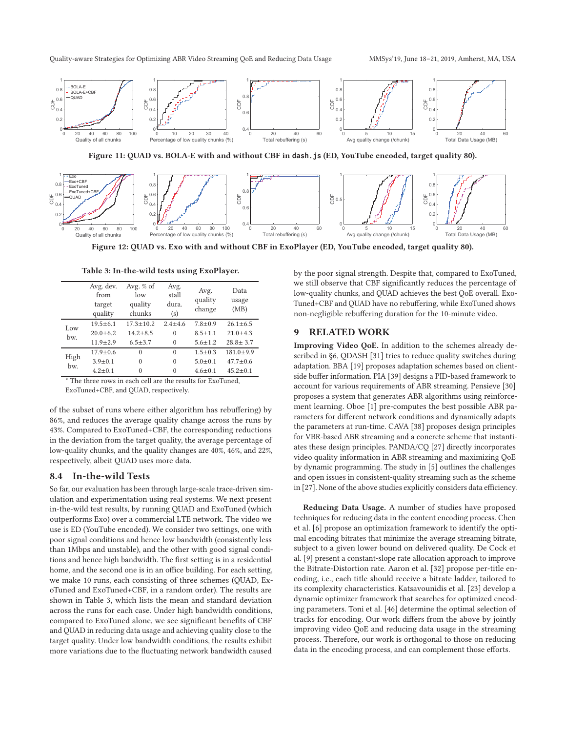Quality-aware Strategies for Optimizing ABR Video Streaming QoE and Reducing Data Usage MMSys'19, June 18–21, 2019, Amherst, MA, USA

![](_page_10_Figure_2.jpeg)

**Figure 11: QUAD vs. BOLA-E with and without CBF in dash.js (ED, YouTube encoded, target quality 80).**

![](_page_10_Figure_4.jpeg)

**Figure 12: QUAD vs. Exo with and without CBF in ExoPlayer (ED, YouTube encoded, target quality 80).**

|             | Avg. dev.<br>from<br>target<br>quality | Avg. $%$ of<br>$\log$<br>quality<br>chunks | Avg.<br>stall<br>dura.<br>(s) | Avg.<br>quality<br>change  | Data<br>usage<br>(MB)          |
|-------------|----------------------------------------|--------------------------------------------|-------------------------------|----------------------------|--------------------------------|
| Low<br>bw.  | $19.5 + 6.1$                           | $17.3 + 10.2$                              | $2.4 + 4.6$                   | $7.8 + 0.9$                | $26.1 + 6.5$                   |
|             | $20.0 + 6.2$<br>$11.9 + 2.9$           | $14.2 + 8.5$<br>$6.5 + 3.7$                | $\theta$<br>$\theta$          | $8.5 + 1.1$<br>$5.6 + 1.2$ | $21.0 + 4.3$<br>$28.8 \pm 3.7$ |
|             |                                        |                                            |                               |                            |                                |
| High<br>bw. | $17.9 + 0.6$                           | $\Omega$                                   | $\theta$                      | $1.5 + 0.3$                | $181.0 + 9.9$                  |
|             | $3.9 + 0.1$                            | $\Omega$                                   | $\theta$                      | $5.0 + 0.1$                | $47.7 + 0.6$                   |
|             | $4.2 + 0.1$                            | 0                                          | $\theta$                      | $4.6 + 0.1$                | $45.2 + 0.1$                   |

| Table 3: In-the-wild tests using ExoPlayer. |  |  |  |  |
|---------------------------------------------|--|--|--|--|
|---------------------------------------------|--|--|--|--|

\* The three rows in each cell are the results for ExoTuned, ExoTuned+CBF, and QUAD, respectively.

of the subset of runs where either algorithm has rebuffering) by 86%, and reduces the average quality change across the runs by 43%. Compared to ExoTuned+CBF, the corresponding reductions in the deviation from the target quality, the average percentage of low-quality chunks, and the quality changes are 40%, 46%, and 22%, respectively, albeit QUAD uses more data.

#### **8.4 In-the-wild Tests**

So far, our evaluation has been through large-scale trace-driven simulation and experimentation using real systems. We next present in-the-wild test results, by running QUAD and ExoTuned (which outperforms Exo) over a commercial LTE network. The video we use is ED (YouTube encoded). We consider two settings, one with poor signal conditions and hence low bandwidth (consistently less than 1Mbps and unstable), and the other with good signal conditions and hence high bandwidth. The first setting is in a residential home, and the second one is in an office building. For each setting, we make 10 runs, each consisting of three schemes (QUAD, ExoTuned and ExoTuned+CBF, in a random order). The results are shown in Table 3, which lists the mean and standard deviation across the runs for each case. Under high bandwidth conditions, compared to ExoTuned alone, we see significant benefits of CBF and QUAD in reducing data usage and achieving quality close to the target quality. Under low bandwidth conditions, the results exhibit more variations due to the fluctuating network bandwidth caused

by the poor signal strength. Despite that, compared to ExoTuned, we still observe that CBF significantly reduces the percentage of low-quality chunks, and QUAD achieves the best QoE overall. Exo-Tuned+CBF and QUAD have no rebuffering, while ExoTuned shows non-negligible rebuffering duration for the 10-minute video.

#### **9 RELATED WORK**

**Improving Video QoE.** In addition to the schemes already described in §6, QDASH [31] tries to reduce quality switches during adaptation. BBA [19] proposes adaptation schemes based on clientside buffer information. PIA [39] designs a PID-based framework to account for various requirements of ABR streaming. Pensieve [30] proposes a system that generates ABR algorithms using reinforcement learning. Oboe [1] pre-computes the best possible ABR parameters for different network conditions and dynamically adapts the parameters at run-time. CAVA [38] proposes design principles for VBR-based ABR streaming and a concrete scheme that instantiates these design principles. PANDA/CQ [27] directly incorporates video quality information in ABR streaming and maximizing QoE by dynamic programming. The study in [5] outlines the challenges and open issues in consistent-quality streaming such as the scheme in [27]. None of the above studies explicitly considers data efficiency.

**Reducing Data Usage.** A number of studies have proposed techniques for reducing data in the content encoding process. Chen et al. [6] propose an optimization framework to identify the optimal encoding bitrates that minimize the average streaming bitrate, subject to a given lower bound on delivered quality. De Cock et al. [9] present a constant-slope rate allocation approach to improve the Bitrate-Distortion rate. Aaron et al. [32] propose per-title encoding, i.e., each title should receive a bitrate ladder, tailored to its complexity characteristics. Katsavounidis et al. [23] develop a dynamic optimizer framework that searches for optimized encoding parameters. Toni et al. [46] determine the optimal selection of tracks for encoding. Our work differs from the above by jointly improving video QoE and reducing data usage in the streaming process. Therefore, our work is orthogonal to those on reducing data in the encoding process, and can complement those efforts.